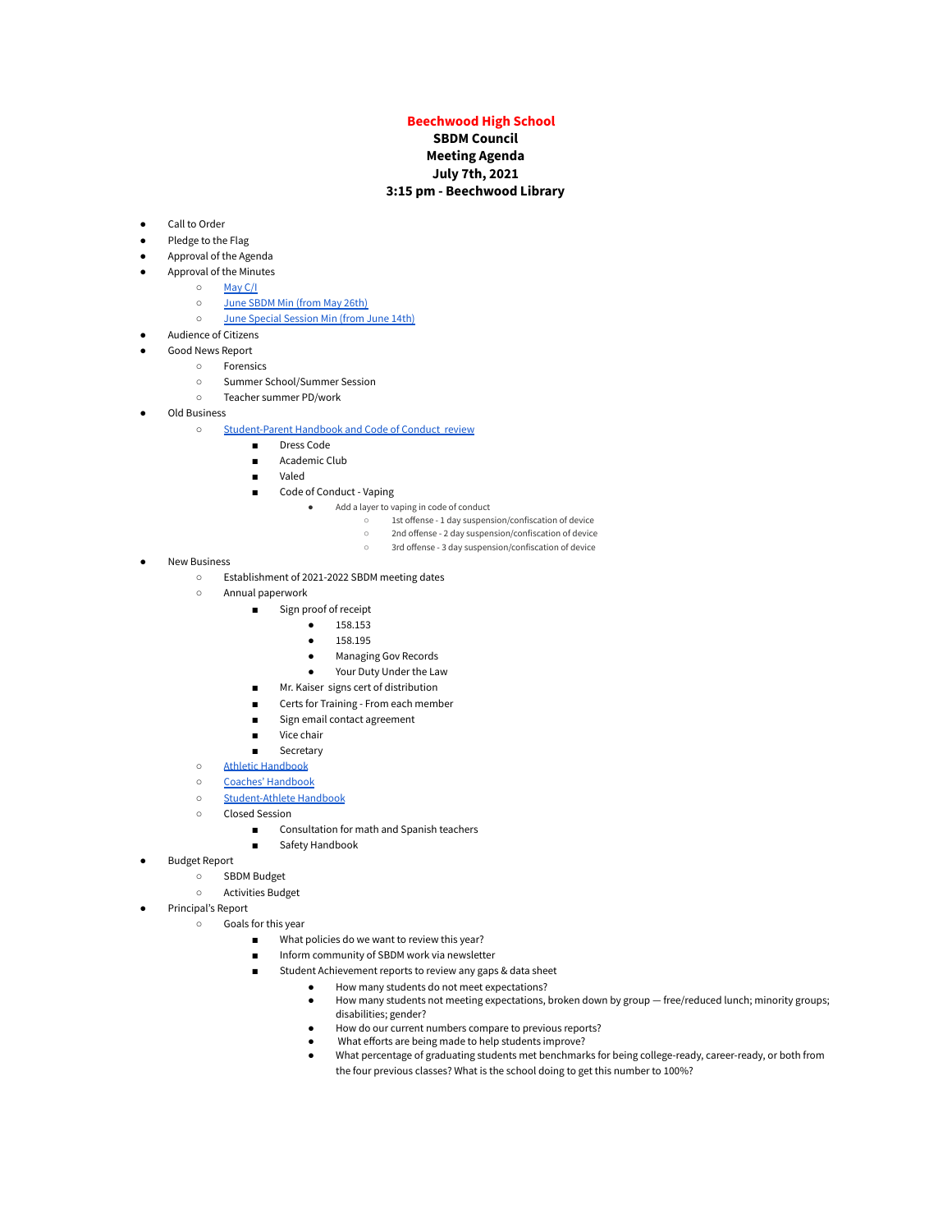## **Beechwood High School**

## **SBDM Council Meeting Agenda July 7th, 2021 3:15 pm - Beechwood Library**

- Call to Order
- Pledge to the Flag
- Approval of the Agenda
- Approval of the Minutes
	- [May](https://docs.google.com/document/d/1lKycM6hozBHIyuydyeTmvmtx5Q1zN9t4hXHZFpkslPQ/edit?usp=sharing) C/I
	- June [SBDM](https://docs.google.com/document/d/1nZ5MAR94H2qqPVyjcxW5VZwFfX7nRcKD2zLVsokHRk0/edit?usp=sharing) Min (from May 26th)
	- June Special [Session](https://docs.google.com/document/d/1OPVcEIfNo7GLw3yTC4Ytj5u7WTgzSj4JvmdvqFO4j58/edit?usp=sharing) Min (from June 14th)
- **Audience of Citizens** 
	- Good News Report
		- Forensics
		- Summer School/Summer Session
		- Teacher summer PD/work
- Old Business
	- [Student-Parent](https://docs.google.com/document/d/1lWHYuZoRtD_9M2ERwREPrFVdFtVx8PglGORuovYErhY/edit?usp=sharing) Handbook and Code of Conduct review
		- Dress Code
		- Academic Club
		- Valed
		- Code of Conduct Vaping
			- Add a layer to vaping in code of conduct
				- 1st offense 1 day suspension/confiscation of device
				- 2nd offense 2 day suspension/confiscation of device
				- 3rd offense 3 day suspension/confiscation of device
- **New Business** 
	- Establishment of 2021-2022 SBDM meeting dates
	- Annual paperwork
		- Sign proof of receipt
			- 158.153
			- 158.195
			- Managing Gov Records
			- Your Duty Under the Law
		- Mr. Kaiser signs cert of distribution
		- Certs for Training From each member
		- Sign email contact agreement
		- Vice chair
		- Secretary
	- Athletic [Handbook](https://docs.google.com/document/d/1XSRLBce0ilMLVge6cpqWFFRi-WikIcDL23yzR7qLnGE/edit?usp=sharing)
	- Coaches' [Handbook](https://docs.google.com/document/d/1doIuVO7qyseGOSHqjtAcfpbiYei1VP6LKqwe0LnaGW8/edit?usp=sharing)
	- [Student-Athlete](https://docs.google.com/document/d/15gZrd0g08Bi7xJJ4kqV8JbrtmrPGZ8aHm5oPv8keKYI/edit?usp=sharing) Handbook
	- Closed Session
		- Consultation for math and Spanish teachers
			- Safety Handbook
	-
- **Budget Report** 
	- SBDM Budget
	- Activities Budget
- Principal's Report
	- Goals for this year
		- What policies do we want to review this year?
		- Inform community of SBDM work via newsletter
		- Student Achievement reports to review any gaps & data sheet
			- How many students do not meet expectations?
				- How many students not meeting expectations, broken down by group free/reduced lunch; minority groups; disabilities; gender?
				- How do our current numbers compare to previous reports?
				- What efforts are being made to help students improve?
				- What percentage of graduating students met benchmarks for being college-ready, career-ready, or both from the four previous classes? What is the school doing to get this number to 100%?